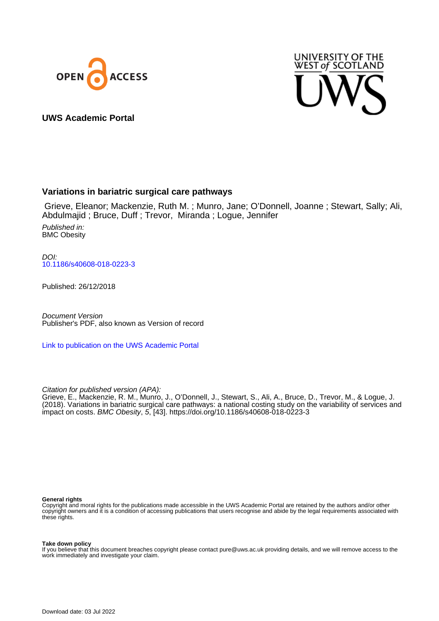



**UWS Academic Portal**

# **Variations in bariatric surgical care pathways**

 Grieve, Eleanor; Mackenzie, Ruth M. ; Munro, Jane; O'Donnell, Joanne ; Stewart, Sally; Ali, Abdulmajid ; Bruce, Duff ; Trevor, Miranda ; Logue, Jennifer

Published in: BMC Obesity

DOI: [10.1186/s40608-018-0223-3](https://doi.org/10.1186/s40608-018-0223-3)

Published: 26/12/2018

Document Version Publisher's PDF, also known as Version of record

[Link to publication on the UWS Academic Portal](https://uws.pure.elsevier.com/en/publications/ad855c46-e4e8-47fe-9474-ccbb8072219a)

Citation for published version (APA):

Grieve, E., Mackenzie, R. M., Munro, J., O'Donnell, J., Stewart, S., Ali, A., Bruce, D., Trevor, M., & Logue, J. (2018). Variations in bariatric surgical care pathways: a national costing study on the variability of services and impact on costs. BMC Obesity, 5, [43]. <https://doi.org/10.1186/s40608-018-0223-3>

# **General rights**

Copyright and moral rights for the publications made accessible in the UWS Academic Portal are retained by the authors and/or other copyright owners and it is a condition of accessing publications that users recognise and abide by the legal requirements associated with these rights.

# **Take down policy**

If you believe that this document breaches copyright please contact pure@uws.ac.uk providing details, and we will remove access to the work immediately and investigate your claim.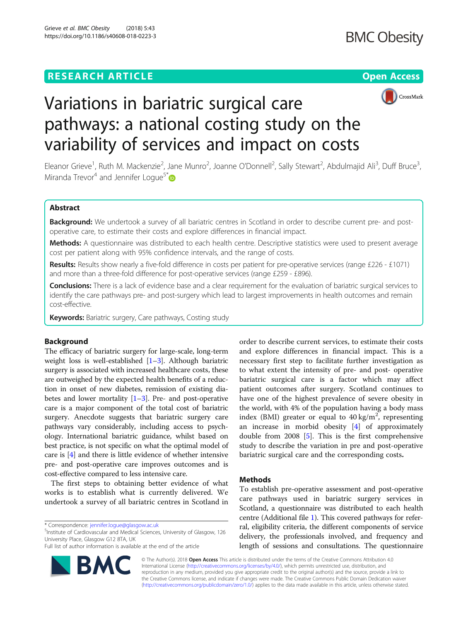# **RESEARCH ARTICLE Example 2014 12:30 The Contract of Contract ACCESS**





# Variations in bariatric surgical care pathways: a national costing study on the variability of services and impact on costs

Eleanor Grieve<sup>1</sup>, Ruth M. Mackenzie<sup>2</sup>, Jane Munro<sup>2</sup>, Joanne O'Donnell<sup>2</sup>, Sally Stewart<sup>2</sup>, Abdulmajid Ali<sup>3</sup>, Duff Bruce<sup>3</sup> , Miranda Trevor<sup>4</sup> and Jennifer Loque<sup>5\*</sup>

# Abstract

Background: We undertook a survey of all bariatric centres in Scotland in order to describe current pre- and postoperative care, to estimate their costs and explore differences in financial impact.

Methods: A questionnaire was distributed to each health centre. Descriptive statistics were used to present average cost per patient along with 95% confidence intervals, and the range of costs.

Results: Results show nearly a five-fold difference in costs per patient for pre-operative services (range £226 - £1071) and more than a three-fold difference for post-operative services (range £259 - £896).

**Conclusions:** There is a lack of evidence base and a clear requirement for the evaluation of bariatric surgical services to identify the care pathways pre- and post-surgery which lead to largest improvements in health outcomes and remain cost-effective.

**Keywords:** Bariatric surgery, Care pathways, Costing study

# Background

The efficacy of bariatric surgery for large-scale, long-term weight loss is well-established [\[1](#page-5-0)–[3\]](#page-5-0). Although bariatric surgery is associated with increased healthcare costs, these are outweighed by the expected health benefits of a reduction in onset of new diabetes, remission of existing diabetes and lower mortality  $[1-3]$  $[1-3]$  $[1-3]$ . Pre- and post-operative care is a major component of the total cost of bariatric surgery. Anecdote suggests that bariatric surgery care pathways vary considerably, including access to psychology. International bariatric guidance, whilst based on best practice, is not specific on what the optimal model of care is [[4](#page-5-0)] and there is little evidence of whether intensive pre- and post-operative care improves outcomes and is cost-effective compared to less intensive care.

The first steps to obtaining better evidence of what works is to establish what is currently delivered. We undertook a survey of all bariatric centres in Scotland in

\* Correspondence: [jennifer.logue@glasgow.ac.uk](mailto:jennifer.logue@glasgow.ac.uk) <sup>5</sup>

<sup>5</sup>Institute of Cardiovascular and Medical Sciences, University of Glasgow, 126 University Place, Glasgow G12 8TA, UK

Full list of author information is available at the end of the article



order to describe current services, to estimate their costs and explore differences in financial impact. This is a necessary first step to facilitate further investigation as to what extent the intensity of pre- and post- operative bariatric surgical care is a factor which may affect patient outcomes after surgery. Scotland continues to have one of the highest prevalence of severe obesity in the world, with 4% of the population having a body mass index (BMI) greater or equal to  $40 \text{ kg/m}^2$ , representing an increase in morbid obesity [[4\]](#page-5-0) of approximately double from 2008 [[5](#page-5-0)]. This is the first comprehensive study to describe the variation in pre and post-operative bariatric surgical care and the corresponding costs.

# **Methods**

To establish pre-operative assessment and post-operative care pathways used in bariatric surgery services in Scotland, a questionnaire was distributed to each health centre (Additional file [1](#page-5-0)). This covered pathways for referral, eligibility criteria, the different components of service delivery, the professionals involved, and frequency and length of sessions and consultations. The questionnaire

© The Author(s). 2018 Open Access This article is distributed under the terms of the Creative Commons Attribution 4.0 International License [\(http://creativecommons.org/licenses/by/4.0/](http://creativecommons.org/licenses/by/4.0/)), which permits unrestricted use, distribution, and reproduction in any medium, provided you give appropriate credit to the original author(s) and the source, provide a link to the Creative Commons license, and indicate if changes were made. The Creative Commons Public Domain Dedication waiver [\(http://creativecommons.org/publicdomain/zero/1.0/](http://creativecommons.org/publicdomain/zero/1.0/)) applies to the data made available in this article, unless otherwise stated.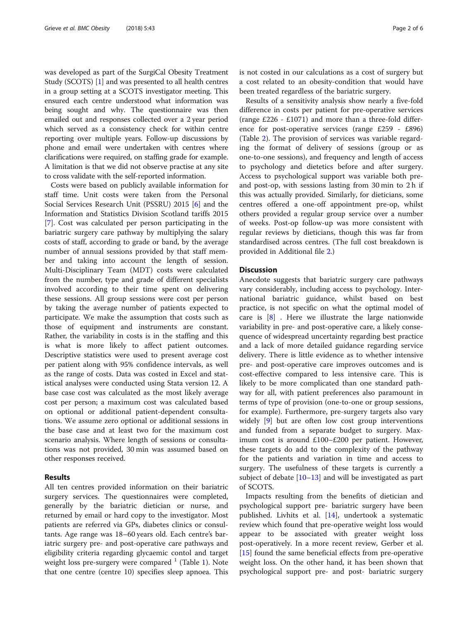was developed as part of the SurgiCal Obesity Treatment Study (SCOTS) [\[1](#page-5-0)] and was presented to all health centres in a group setting at a SCOTS investigator meeting. This ensured each centre understood what information was being sought and why. The questionnaire was then emailed out and responses collected over a 2 year period which served as a consistency check for within centre reporting over multiple years. Follow-up discussions by phone and email were undertaken with centres where clarifications were required, on staffing grade for example. A limitation is that we did not observe practise at any site to cross validate with the self-reported information.

Costs were based on publicly available information for staff time. Unit costs were taken from the Personal Social Services Research Unit (PSSRU) 2015 [[6](#page-6-0)] and the Information and Statistics Division Scotland tariffs 2015 [[7\]](#page-6-0). Cost was calculated per person participating in the bariatric surgery care pathway by multiplying the salary costs of staff, according to grade or band, by the average number of annual sessions provided by that staff member and taking into account the length of session. Multi-Disciplinary Team (MDT) costs were calculated from the number, type and grade of different specialists involved according to their time spent on delivering these sessions. All group sessions were cost per person by taking the average number of patients expected to participate. We make the assumption that costs such as those of equipment and instruments are constant. Rather, the variability in costs is in the staffing and this is what is more likely to affect patient outcomes. Descriptive statistics were used to present average cost per patient along with 95% confidence intervals, as well as the range of costs. Data was costed in Excel and statistical analyses were conducted using Stata version 12. A base case cost was calculated as the most likely average cost per person; a maximum cost was calculated based on optional or additional patient-dependent consultations. We assume zero optional or additional sessions in the base case and at least two for the maximum cost scenario analysis. Where length of sessions or consultations was not provided, 30 min was assumed based on other responses received.

# Results

All ten centres provided information on their bariatric surgery services. The questionnaires were completed, generally by the bariatric dietician or nurse, and returned by email or hard copy to the investigator. Most patients are referred via GPs, diabetes clinics or consultants. Age range was 18–60 years old. Each centre's bariatric surgery pre- and post-operative care pathways and eligibility criteria regarding glycaemic contol and target weight loss pre-surgery were compared  $1$  (Table [1\)](#page-3-0). Note that one centre (centre 10) specifies sleep apnoea. This is not costed in our calculations as a cost of surgery but a cost related to an obesity-condition that would have been treated regardless of the bariatric surgery.

Results of a sensitivity analysis show nearly a five-fold difference in costs per patient for pre-operative services (range £226 - £1071) and more than a three-fold difference for post-operative services (range £259 - £896) (Table [2\)](#page-4-0). The provision of services was variable regarding the format of delivery of sessions (group or as one-to-one sessions), and frequency and length of access to psychology and dietetics before and after surgery. Access to psychological support was variable both preand post-op, with sessions lasting from 30 min to 2 h if this was actually provided. Similarly, for dieticians, some centres offered a one-off appointment pre-op, whilst others provided a regular group service over a number of weeks. Post-op follow-up was more consistent with regular reviews by dieticians, though this was far from standardised across centres. (The full cost breakdown is provided in Additional file [2.](#page-5-0))

# **Discussion**

Anecdote suggests that bariatric surgery care pathways vary considerably, including access to psychology. International bariatric guidance, whilst based on best practice, is not specific on what the optimal model of care is [[8\]](#page-6-0) . Here we illustrate the large nationwide variability in pre- and post-operative care, a likely consequence of widespread uncertainty regarding best practice and a lack of more detailed guidance regarding service delivery. There is little evidence as to whether intensive pre- and post-operative care improves outcomes and is cost-effective compared to less intensive care. This is likely to be more complicated than one standard pathway for all, with patient preferences also paramount in terms of type of provision (one-to-one or group sessions, for example). Furthermore, pre-surgery targets also vary widely [[9\]](#page-6-0) but are often low cost group interventions and funded from a separate budget to surgery. Maximum cost is around £100–£200 per patient. However, these targets do add to the complexity of the pathway for the patients and variation in time and access to surgery. The usefulness of these targets is currently a subject of debate  $[10-13]$  $[10-13]$  $[10-13]$  and will be investigated as part of SCOTS.

Impacts resulting from the benefits of dietician and psychological support pre- bariatric surgery have been published. Livhits et al. [[14\]](#page-6-0), undertook a systematic review which found that pre-operative weight loss would appear to be associated with greater weight loss post-operatively. In a more recent review, Gerber et al. [[15\]](#page-6-0) found the same beneficial effects from pre-operative weight loss. On the other hand, it has been shown that psychological support pre- and post- bariatric surgery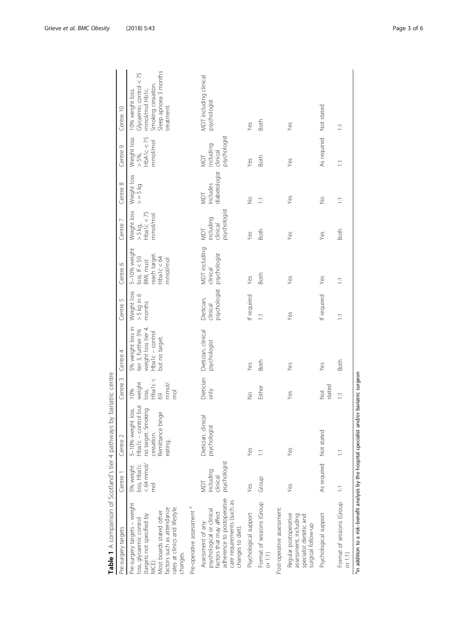<span id="page-3-0"></span>

| ^^ c ^^ c ^^ c ^^ l ココウフ _ l  _ j   c ^_ l j   i j   j   l )   l ^_ l ^_ l ^_ l )   v / ■ _ __ 】 l 1                                                                                                     |                                                            |                                                                                                              | ノシニノノ ノニコココン                                                            |                                                                                                     |                                        |                                                                                              |                                                      |                                  |                                                  |                                                                                                                             |
|----------------------------------------------------------------------------------------------------------------------------------------------------------------------------------------------------------|------------------------------------------------------------|--------------------------------------------------------------------------------------------------------------|-------------------------------------------------------------------------|-----------------------------------------------------------------------------------------------------|----------------------------------------|----------------------------------------------------------------------------------------------|------------------------------------------------------|----------------------------------|--------------------------------------------------|-----------------------------------------------------------------------------------------------------------------------------|
| Pre-surgery targets                                                                                                                                                                                      | Centre 1                                                   | Centre 2                                                                                                     | Centre 3                                                                | Centre 4                                                                                            | Centre 5                               | Centre 6                                                                                     | Centre 7                                             | Centre 8                         | Centre 9                                         | Centre 10                                                                                                                   |
| Pre-surgery targets - weight<br>factors such as attendance<br>rates at clinics and lifestyle<br>Most boards stated other<br>(targets not specified by<br>loss, glycaemic control<br>changes.<br>GD<br>NE | $< 64$ mmol/<br>loss, Hba1c<br>5% weight<br>$\overline{P}$ | Hba1c - control but<br>no target. Smoking<br>5-10% weight loss.<br>Remittance binge<br>cessation.<br>eating. | $loss,$<br>Hbaic<<br>weight<br>$rac{69}{mmol}$<br>10%<br>$\overline{p}$ | 5% weight loss in<br>weight loss tier 4.<br>tier 3, further 5%<br>Hba1c - control<br>but no target. | Weight loss<br>$> 5$ kg in 6<br>months | 5-10% weight<br>reach target.<br>Hba1c < 64<br>$\log s$ . If $<$ 50<br>BMI, must<br>mmol/mol | Weight loss<br>Hba1c < $75$<br>mmol/mol<br>$>$ 5 kg, | Weight loss<br>$> = 5$ kg        | $>$ 5%,<br>HbA1c < 75<br>Weight loss<br>nmol/mol | Sleep apnoea 3 months<br>Glycaemic control $<$ 75<br>Smoking cessation.<br>mmol/mol Hb1c.<br>10% weight loss.<br>treatment. |
| Pre-operative assessment <sup>a</sup>                                                                                                                                                                    |                                                            |                                                                                                              |                                                                         |                                                                                                     |                                        |                                                                                              |                                                      |                                  |                                                  |                                                                                                                             |
| adherence to postoperative<br>care requirements (such as<br>psychological or clinical<br>factors that may affect<br>Assessment of any<br>changes to diet).                                               | psychologist<br>including<br>clinical<br>Tam               | Dietician, clinical<br>psychologist                                                                          | Dietician<br>$\sum_{i=1}^{n}$                                           | Dietician, clinical<br>psychologist                                                                 | psychologist<br>Dietician,<br>clinical | MDT including<br>psychologist<br>clinical                                                    | psychologist<br>including<br>clinical<br>Taw         | diabetologist<br>includes<br>TOM | psychologist<br>including<br>clinical<br>Taiw    | MDT including clinical<br>psychologist                                                                                      |
| Psychological support                                                                                                                                                                                    | Yes                                                        | Yes                                                                                                          | $\frac{1}{2}$                                                           | Yes                                                                                                 | If required                            | Yes                                                                                          | Yes                                                  | $\frac{1}{2}$                    | Yes                                              | Yes                                                                                                                         |
| Format of sessions (Group<br>or $1:1)$                                                                                                                                                                   | Group                                                      | Ξ                                                                                                            | Either                                                                  | Both                                                                                                | Ξ                                      | Both                                                                                         | <b>Both</b>                                          | Ξ                                | <b>Both</b>                                      | Both                                                                                                                        |
| Post-operative assessment:                                                                                                                                                                               |                                                            |                                                                                                              |                                                                         |                                                                                                     |                                        |                                                                                              |                                                      |                                  |                                                  |                                                                                                                             |
| Regular postoperative<br>assessment, including<br>specialist dietetic and<br>surgical follow-up                                                                                                          | Yes                                                        | Yes                                                                                                          | Yes                                                                     | Yes                                                                                                 | Yes                                    | Yes                                                                                          | Yes                                                  | Yes                              | Yes                                              | Yes                                                                                                                         |
| Psychological support                                                                                                                                                                                    | As required Not stated                                     |                                                                                                              | stated<br>$\stackrel{\text{ot}}{\geq}$                                  | Yes                                                                                                 | If required                            | Yes                                                                                          | Yes                                                  | $\frac{1}{2}$                    | As required                                      | Not stated                                                                                                                  |
| Format of sessions (Group 1:1<br>or $1:1$                                                                                                                                                                |                                                            | Ξ                                                                                                            | Ξ                                                                       | <b>Both</b>                                                                                         | Ξ                                      | Ξ                                                                                            | Both                                                 | Ξ                                | Ξ                                                | Ξ                                                                                                                           |
| <sup>a</sup> 'n addition to a risk-benefit analysis by the hospital specialist and/or bariatric surgeon                                                                                                  |                                                            |                                                                                                              |                                                                         |                                                                                                     |                                        |                                                                                              |                                                      |                                  |                                                  |                                                                                                                             |

Table 1 A comparison of Scotland's tier 4 pathways by bariatric centre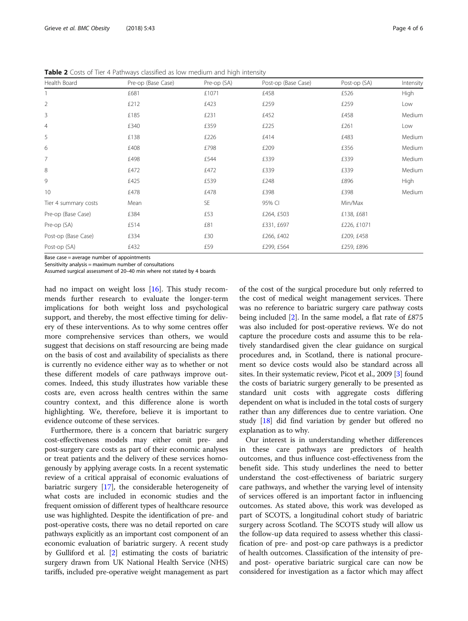| Health Board         | Pre-op (Base Case) | Pre-op (SA) | Post-op (Base Case) | Post-op (SA) | Intensity   |
|----------------------|--------------------|-------------|---------------------|--------------|-------------|
|                      | £681               | £1071       | £458                | £526         | High        |
| $\overline{2}$       | £212               | £423        | £259                | £259         | Low         |
| 3                    | £185               | £231        | £452                | £458         | Medium      |
| 4                    | £340               | £359        | £225                | £261         | Low         |
| 5                    | £138               | £226        | £414                | £483         | Medium      |
| 6                    | £408               | £798        | £209                | £356         | Medium      |
| $\overline{7}$       | £498               | £544        | £339                | £339         | Medium      |
| 8                    | £472               | £472        | £339                | £339         | Medium      |
| 9                    | £425               | £539        | £248                | £896         | <b>High</b> |
| 10                   | £478               | £478        | £398                | £398         | Medium      |
| Tier 4 summary costs | Mean               | <b>SE</b>   | 95% CI              | Min/Max      |             |
| Pre-op (Base Case)   | £384               | £53         | £264, £503          | £138, £681   |             |
| Pre-op (SA)          | £514               | £81         | £331, £697          | £226, £1071  |             |
| Post-op (Base Case)  | £334               | £30         | £266, £402          | £209, £458   |             |
| Post-op (SA)         | £432               | £59         | £299, £564          | £259, £896   |             |

<span id="page-4-0"></span>Table 2 Costs of Tier 4 Pathways classified as low medium and high intensity

Base case = average number of appointments Sensitivity analysis = maximum number of consultations

Assumed surgical assessment of 20–40 min where not stated by 4 boards

had no impact on weight loss [[16](#page-6-0)]. This study recommends further research to evaluate the longer-term implications for both weight loss and psychological support, and thereby, the most effective timing for delivery of these interventions. As to why some centres offer more comprehensive services than others, we would suggest that decisions on staff resourcing are being made on the basis of cost and availability of specialists as there is currently no evidence either way as to whether or not these different models of care pathways improve outcomes. Indeed, this study illustrates how variable these costs are, even across health centres within the same country context, and this difference alone is worth highlighting. We, therefore, believe it is important to evidence outcome of these services.

Furthermore, there is a concern that bariatric surgery cost-effectiveness models may either omit pre- and post-surgery care costs as part of their economic analyses or treat patients and the delivery of these services homogenously by applying average costs. In a recent systematic review of a critical appraisal of economic evaluations of bariatric surgery [\[17\]](#page-6-0), the considerable heterogeneity of what costs are included in economic studies and the frequent omission of different types of healthcare resource use was highlighted. Despite the identification of pre- and post-operative costs, there was no detail reported on care pathways explicitly as an important cost component of an economic evaluation of bariatric surgery. A recent study by Gulliford et al. [\[2\]](#page-5-0) estimating the costs of bariatric surgery drawn from UK National Health Service (NHS) tariffs, included pre-operative weight management as part

of the cost of the surgical procedure but only referred to the cost of medical weight management services. There was no reference to bariatric surgery care pathway costs being included [[2](#page-5-0)]. In the same model, a flat rate of £875 was also included for post-operative reviews. We do not capture the procedure costs and assume this to be relatively standardised given the clear guidance on surgical procedures and, in Scotland, there is national procurement so device costs would also be standard across all sites. In their systematic review, Picot et al., 2009 [[3](#page-5-0)] found the costs of bariatric surgery generally to be presented as standard unit costs with aggregate costs differing dependent on what is included in the total costs of surgery rather than any differences due to centre variation. One study [\[18\]](#page-6-0) did find variation by gender but offered no explanation as to why.

Our interest is in understanding whether differences in these care pathways are predictors of health outcomes, and thus influence cost-effectiveness from the benefit side. This study underlines the need to better understand the cost-effectiveness of bariatric surgery care pathways, and whether the varying level of intensity of services offered is an important factor in influencing outcomes. As stated above, this work was developed as part of SCOTS, a longitudinal cohort study of bariatric surgery across Scotland. The SCOTS study will allow us the follow-up data required to assess whether this classification of pre- and post-op care pathways is a predictor of health outcomes. Classification of the intensity of preand post- operative bariatric surgical care can now be considered for investigation as a factor which may affect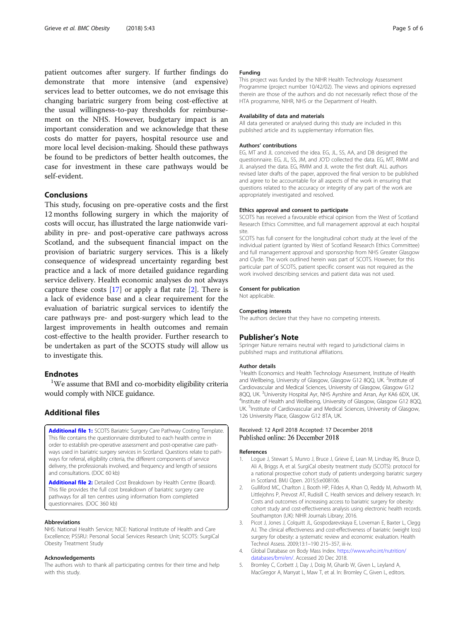<span id="page-5-0"></span>patient outcomes after surgery. If further findings do demonstrate that more intensive (and expensive) services lead to better outcomes, we do not envisage this changing bariatric surgery from being cost-effective at the usual willingness-to-pay thresholds for reimbursement on the NHS. However, budgetary impact is an important consideration and we acknowledge that these costs do matter for payers, hospital resource use and more local level decision-making. Should these pathways be found to be predictors of better health outcomes, the case for investment in these care pathways would be self-evident.

# Conclusions

This study, focusing on pre-operative costs and the first 12 months following surgery in which the majority of costs will occur, has illustrated the large nationwide variability in pre- and post-operative care pathways across Scotland, and the subsequent financial impact on the provision of bariatric surgery services. This is a likely consequence of widespread uncertainty regarding best practice and a lack of more detailed guidance regarding service delivery. Health economic analyses do not always capture these costs  $[17]$  $[17]$  or apply a flat rate  $[2]$ . There is a lack of evidence base and a clear requirement for the evaluation of bariatric surgical services to identify the care pathways pre- and post-surgery which lead to the largest improvements in health outcomes and remain cost-effective to the health provider. Further research to be undertaken as part of the SCOTS study will allow us to investigate this.

# **Endnotes**

<sup>1</sup>We assume that BMI and co-morbidity eligibility criteria would comply with NICE guidance.

# Additional files

[Additional file 1:](https://doi.org/10.1186/s40608-018-0223-3) SCOTS Bariatric Surgery Care Pathway Costing Template. This file contains the questionnaire distributed to each health centre in order to establish pre-operative assessment and post-operative care pathways used in bariatric surgery services in Scotland. Questions relate to pathways for referral, eligibility criteria, the different components of service delivery, the professionals involved, and frequency and length of sessions and consultations. (DOC 60 kb)

[Additional file 2:](https://doi.org/10.1186/s40608-018-0223-3) Detailed Cost Breakdown by Health Centre (Board). This file provides the full cost breakdown of bariatric surgery care pathways for all ten centres using information from completed questionnaires. (DOC 360 kb)

#### Abbreviations

NHS: National Health Service; NICE: National Institute of Health and Care Excellence; PSSRU: Personal Social Services Research Unit; SCOTS: SurgiCal Obesity Treatment Study

#### Acknowledgements

The authors wish to thank all participating centres for their time and help with this study.

#### Funding

This project was funded by the NIHR Health Technology Assessment Programme (project number 10/42/02). The views and opinions expressed therein are those of the authors and do not necessarily reflect those of the HTA programme, NIHR, NHS or the Department of Health.

#### Availability of data and materials

All data generated or analysed during this study are included in this published article and its supplementary information files.

#### Authors' contributions

EG, MT and JL conceived the idea. EG, JL, SS, AA, and DB designed the questionnaire. EG, JL, SS, JM, and JO'D collected the data. EG, MT, RMM and JL analysed the data. EG, RMM and JL wrote the first draft. ALL authors revised later drafts of the paper, approved the final version to be published and agree to be accountable for all aspects of the work in ensuring that questions related to the accuracy or integrity of any part of the work are appropriately investigated and resolved.

#### Ethics approval and consent to participate

SCOTS has received a favourable ethical opinion from the West of Scotland Research Ethics Committee, and full management approval at each hospital site.

SCOTS has full consent for the longitudinal cohort study at the level of the individual patient (granted by West of Scotland Research Ethics Committee) and full management approval and sponsorship from NHS Greater Glasgow and Clyde. The work outlined herein was part of SCOTS. However, for this particular part of SCOTS, patient specific consent was not required as the work involved describing services and patient data was not used.

#### Consent for publication

Not applicable.

#### Competing interests

The authors declare that they have no competing interests.

### Publisher's Note

Springer Nature remains neutral with regard to jurisdictional claims in published maps and institutional affiliations.

#### Author details

<sup>1</sup> Health Economics and Health Technology Assessment, Institute of Health and Wellbeing, University of Glasgow, Glasgow G12 8QQ, UK. <sup>2</sup>Institute of Cardiovascular and Medical Sciences, University of Glasgow, Glasgow G12 8QQ, UK. <sup>3</sup>University Hospital Ayr, NHS Ayrshire and Arran, Ayr KA6 6DX, UK.<br><sup>4</sup>Institute of Hoalth and Wellbeing, University of Glasgow, Glasgow G13, 800 <sup>4</sup>Institute of Health and Wellbeing, University of Glasgow, Glasgow G12 8QQ, UK. <sup>5</sup>Institute of Cardiovascular and Medical Sciences, University of Glasgow, 126 University Place, Glasgow G12 8TA, UK.

#### Received: 12 April 2018 Accepted: 17 December 2018 Published online: 26 December 2018

#### References

- Logue J, Stewart S, Munro J, Bruce J, Grieve E, Lean M, Lindsay RS, Bruce D, Ali A, Briggs A, et al. SurgiCal obesity treatment study (SCOTS): protocol for a national prospective cohort study of patients undergoing bariatric surgery in Scotland. BMJ Open. 2015;5:e008106.
- 2. Gulliford MC, Charlton J, Booth HP, Fildes A, Khan O, Reddy M, Ashworth M, Littlejohns P, Prevost AT, Rudisill C. Health services and delivery research. In: Costs and outcomes of increasing access to bariatric surgery for obesity: cohort study and cost-effectiveness analysis using electronic health records. Southampton (UK): NIHR Journals Library; 2016.
- 3. Picot J, Jones J, Colquitt JL, Gospodarevskaya E, Loveman E, Baxter L, Clegg AJ. The clinical effectiveness and cost-effectiveness of bariatric (weight loss) surgery for obesity: a systematic review and economic evaluation. Health Technol Assess. 2009;13:1–190 215–357, iii-iv.
- 4. Global Database on Body Mass Index. [https://www.who.int/nutrition/](https://www.who.int/nutrition/databases/bmi/en/) [databases/bmi/en/](https://www.who.int/nutrition/databases/bmi/en/). Accessed 20 Dec 2018.
- 5. Bromley C, Corbett J, Day J, Doig M, Gharib W, Given L, Leyland A, MacGregor A, Marryat L, Maw T, et al. In: Bromley C, Given L, editors.